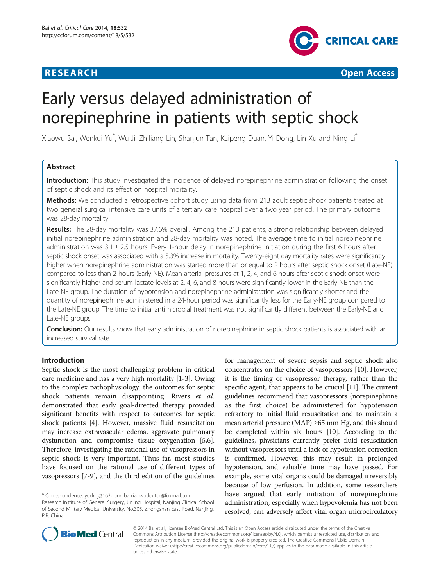



# Early versus delayed administration of norepinephrine in patients with septic shock

Xiaowu Bai, Wenkui Yu<sup>\*</sup>, Wu Ji, Zhiliang Lin, Shanjun Tan, Kaipeng Duan, Yi Dong, Lin Xu and Ning Li<sup>\*</sup>

# Abstract

Introduction: This study investigated the incidence of delayed norepinephrine administration following the onset of septic shock and its effect on hospital mortality.

Methods: We conducted a retrospective cohort study using data from 213 adult septic shock patients treated at two general surgical intensive care units of a tertiary care hospital over a two year period. The primary outcome was 28-day mortality.

Results: The 28-day mortality was 37.6% overall. Among the 213 patients, a strong relationship between delayed initial norepinephrine administration and 28-day mortality was noted. The average time to initial norepinephrine administration was  $3.1 \pm 2.5$  hours. Every 1-hour delay in norepinephrine initiation during the first 6 hours after septic shock onset was associated with a 5.3% increase in mortality. Twenty-eight day mortality rates were significantly higher when norepinephrine administration was started more than or equal to 2 hours after septic shock onset (Late-NE) compared to less than 2 hours (Early-NE). Mean arterial pressures at 1, 2, 4, and 6 hours after septic shock onset were significantly higher and serum lactate levels at 2, 4, 6, and 8 hours were significantly lower in the Early-NE than the Late-NE group. The duration of hypotension and norepinephrine administration was significantly shorter and the quantity of norepinephrine administered in a 24-hour period was significantly less for the Early-NE group compared to the Late-NE group. The time to initial antimicrobial treatment was not significantly different between the Early-NE and Late-NE groups.

Conclusion: Our results show that early administration of norepinephrine in septic shock patients is associated with an increased survival rate.

# Introduction

Septic shock is the most challenging problem in critical care medicine and has a very high mortality [[1-3](#page-7-0)]. Owing to the complex pathophysiology, the outcomes for septic shock patients remain disappointing. Rivers et al. demonstrated that early goal-directed therapy provided significant benefits with respect to outcomes for septic shock patients [\[4\]](#page-7-0). However, massive fluid resuscitation may increase extravascular edema, aggravate pulmonary dysfunction and compromise tissue oxygenation [[5](#page-7-0),[6](#page-7-0)]. Therefore, investigating the rational use of vasopressors in septic shock is very important. Thus far, most studies have focused on the rational use of different types of vasopressors [\[7](#page-7-0)-[9\]](#page-7-0), and the third edition of the guidelines

for management of severe sepsis and septic shock also concentrates on the choice of vasopressors [\[10](#page-7-0)]. However, it is the timing of vasopressor therapy, rather than the specific agent, that appears to be crucial [\[11](#page-7-0)]. The current guidelines recommend that vasopressors (norepinephrine as the first choice) be administered for hypotension refractory to initial fluid resuscitation and to maintain a mean arterial pressure (MAP)  $\geq 65$  mm Hg, and this should be completed within six hours [\[10\]](#page-7-0). According to the guidelines, physicians currently prefer fluid resuscitation without vasopressors until a lack of hypotension correction is confirmed. However, this may result in prolonged hypotension, and valuable time may have passed. For example, some vital organs could be damaged irreversibly because of low perfusion. In addition, some researchers have argued that early initiation of norepinephrine administration, especially when hypovolemia has not been resolved, can adversely affect vital organ microcirculatory



© 2014 Bai et al.; licensee BioMed Central Ltd. This is an Open Access article distributed under the terms of the Creative Commons Attribution License [\(http://creativecommons.org/licenses/by/4.0\)](http://creativecommons.org/licenses/by/4.0), which permits unrestricted use, distribution, and reproduction in any medium, provided the original work is properly credited. The Creative Commons Public Domain Dedication waiver [\(http://creativecommons.org/publicdomain/zero/1.0/](http://creativecommons.org/publicdomain/zero/1.0/)) applies to the data made available in this article, unless otherwise stated.

<sup>\*</sup> Correspondence: [yudrnj@163.com](mailto:yudrnj@163.com); [baixiaowudoctor@foxmail.com](mailto:baixiaowudoctor@foxmail.com) Research Institute of General Surgery, Jinling Hospital, Nanjing Clinical School of Second Military Medical University, No.305, Zhongshan East Road, Nanjing, P.R. China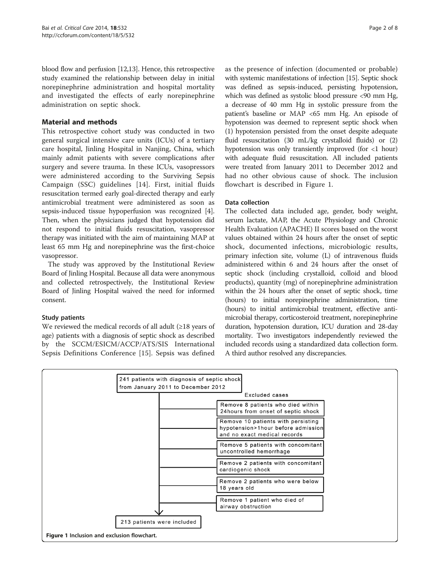blood flow and perfusion [\[12,13\]](#page-7-0). Hence, this retrospective study examined the relationship between delay in initial norepinephrine administration and hospital mortality and investigated the effects of early norepinephrine administration on septic shock.

# Material and methods

This retrospective cohort study was conducted in two general surgical intensive care units (ICUs) of a tertiary care hospital, Jinling Hospital in Nanjing, China, which mainly admit patients with severe complications after surgery and severe trauma. In these ICUs, vasopressors were administered according to the Surviving Sepsis Campaign (SSC) guidelines [[14\]](#page-7-0). First, initial fluids resuscitation termed early goal-directed therapy and early antimicrobial treatment were administered as soon as sepsis-induced tissue hypoperfusion was recognized [[4](#page-7-0)]. Then, when the physicians judged that hypotension did not respond to initial fluids resuscitation, vasopressor therapy was initiated with the aim of maintaining MAP at least 65 mm Hg and norepinephrine was the first-choice vasopressor.

The study was approved by the Institutional Review Board of Jinling Hospital. Because all data were anonymous and collected retrospectively, the Institutional Review Board of Jinling Hospital waived the need for informed consent.

# Study patients

We reviewed the medical records of all adult (≥18 years of age) patients with a diagnosis of septic shock as described by the SCCM/ESICM/ACCP/ATS/SIS International Sepsis Definitions Conference [\[15](#page-7-0)]. Sepsis was defined

as the presence of infection (documented or probable) with systemic manifestations of infection [[15](#page-7-0)]. Septic shock was defined as sepsis-induced, persisting hypotension, which was defined as systolic blood pressure <90 mm Hg, a decrease of 40 mm Hg in systolic pressure from the patient's baseline or MAP <65 mm Hg. An episode of hypotension was deemed to represent septic shock when (1) hypotension persisted from the onset despite adequate fluid resuscitation (30 mL/kg crystalloid fluids) or (2) hypotension was only transiently improved (for <1 hour) with adequate fluid resuscitation. All included patients were treated from January 2011 to December 2012 and had no other obvious cause of shock. The inclusion flowchart is described in Figure 1.

# Data collection

The collected data included age, gender, body weight, serum lactate, MAP, the Acute Physiology and Chronic Health Evaluation (APACHE) II scores based on the worst values obtained within 24 hours after the onset of septic shock, documented infections, microbiologic results, primary infection site, volume (L) of intravenous fluids administered within 6 and 24 hours after the onset of septic shock (including crystalloid, colloid and blood products), quantity (mg) of norepinephrine administration within the 24 hours after the onset of septic shock, time (hours) to initial norepinephrine administration, time (hours) to initial antimicrobial treatment, effective antimicrobial therapy, corticosteroid treatment, norepinephrine duration, hypotension duration, ICU duration and 28-day mortality. Two investigators independently reviewed the included records using a standardized data collection form. A third author resolved any discrepancies.

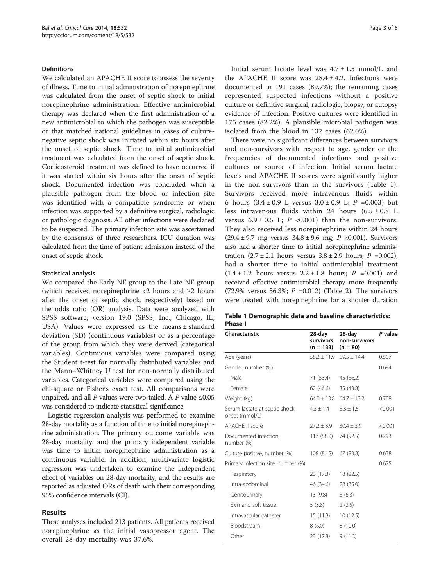#### Definitions

We calculated an APACHE II score to assess the severity of illness. Time to initial administration of norepinephrine was calculated from the onset of septic shock to initial norepinephrine administration. Effective antimicrobial therapy was declared when the first administration of a new antimicrobial to which the pathogen was susceptible or that matched national guidelines in cases of culturenegative septic shock was initiated within six hours after the onset of septic shock. Time to initial antimicrobial treatment was calculated from the onset of septic shock. Corticosteroid treatment was defined to have occurred if it was started within six hours after the onset of septic shock. Documented infection was concluded when a plausible pathogen from the blood or infection site was identified with a compatible syndrome or when infection was supported by a definitive surgical, radiologic or pathologic diagnosis. All other infections were declared to be suspected. The primary infection site was ascertained by the consensus of three researchers. ICU duration was calculated from the time of patient admission instead of the onset of septic shock.

#### Statistical analysis

We compared the Early-NE group to the Late-NE group (which received norepinephrine <2 hours and ≥2 hours after the onset of septic shock, respectively) based on the odds ratio (OR) analysis. Data were analyzed with SPSS software, version 19.0 (SPSS, Inc., Chicago, IL, USA). Values were expressed as the means ± standard deviation (SD) (continuous variables) or as a percentage of the group from which they were derived (categorical variables). Continuous variables were compared using the Student t-test for normally distributed variables and the Mann–Whitney U test for non-normally distributed variables. Categorical variables were compared using the chi-square or Fisher's exact test. All comparisons were unpaired, and all P values were two-tailed. A P value  $\leq 0.05$ was considered to indicate statistical significance.

Logistic regression analysis was performed to examine 28-day mortality as a function of time to initial norepinephrine administration. The primary outcome variable was 28-day mortality, and the primary independent variable was time to initial norepinephrine administration as a continuous variable. In addition, multivariate logistic regression was undertaken to examine the independent effect of variables on 28-day mortality, and the results are reported as adjusted ORs of death with their corresponding 95% confidence intervals (CI).

#### Results

These analyses included 213 patients. All patients received norepinephrine as the initial vasopressor agent. The overall 28-day mortality was 37.6%.

Initial serum lactate level was  $4.7 \pm 1.5$  mmol/L and the APACHE II score was  $28.4 \pm 4.2$ . Infections were documented in 191 cases (89.7%); the remaining cases represented suspected infections without a positive culture or definitive surgical, radiologic, biopsy, or autopsy evidence of infection. Positive cultures were identified in 175 cases (82.2%). A plausible microbial pathogen was isolated from the blood in 132 cases (62.0%).

There were no significant differences between survivors and non-survivors with respect to age, gender or the frequencies of documented infections and positive cultures or source of infection. Initial serum lactate levels and APACHE II scores were significantly higher in the non-survivors than in the survivors (Table 1). Survivors received more intravenous fluids within 6 hours  $(3.4 \pm 0.9 \text{ L} \text{ versus } 3.0 \pm 0.9 \text{ L}; P = 0.003) \text{ but}$ less intravenous fluids within 24 hours  $(6.5 \pm 0.8 \text{ L})$ versus  $6.9 \pm 0.5$  L;  $P < 0.001$ ) than the non-survivors. They also received less norepinephrine within 24 hours  $(29.4 \pm 9.7 \, \text{mg}$  versus  $34.8 \pm 9.6 \, \text{mg}$ ;  $P \le 0.001$ ). Survivors also had a shorter time to initial norepinephrine administration  $(2.7 \pm 2.1$  hours versus  $3.8 \pm 2.9$  hours;  $P = 0.002$ ), had a shorter time to initial antimicrobial treatment  $(1.4 \pm 1.2)$  hours versus  $2.2 \pm 1.8$  hours; P =0.001) and received effective antimicrobial therapy more frequently (72.9% versus 56.3%;  $P = 0.012$ ) (Table [2](#page-3-0)). The survivors were treated with norepinephrine for a shorter duration

|                |  |  | Table 1 Demographic data and baseline characteristics: |
|----------------|--|--|--------------------------------------------------------|
| <b>Phase I</b> |  |  |                                                        |

| <b>Characteristic</b>                           | 28-day<br>survivors<br>(n = 133) | 28-day<br>non-survivors<br>$(n = 80)$ | P value |
|-------------------------------------------------|----------------------------------|---------------------------------------|---------|
| Age (years)                                     | $58.2 \pm 11.9$ 59.5 $\pm$ 14.4  |                                       | 0.507   |
| Gender, number (%)                              |                                  |                                       | 0.684   |
| Male                                            | 71 (53.4)                        | 45 (56.2)                             |         |
| Female                                          | 62 (46.6)                        | 35 (43.8)                             |         |
| Weight (kg)                                     | $64.0 \pm 13.8$                  | $64.7 \pm 13.2$                       | 0.708   |
| Serum lactate at septic shock<br>onset (mmol/L) | $4.3 \pm 1.4$                    | $5.3 \pm 1.5$                         | < 0.001 |
| <b>APACHE II score</b>                          | $27.2 + 3.9$                     | $30.4 \pm 3.9$                        | < 0.001 |
| Documented infection,<br>number (%)             | 117 (88.0)                       | 74 (92.5)                             | 0.293   |
| Culture positive, number (%)                    | 108 (81.2)                       | 67 (83.8)                             | 0.638   |
| Primary infection site, number (%)              |                                  |                                       | 0.675   |
| Respiratory                                     | 23 (17.3)                        | 18 (22.5)                             |         |
| Intra-abdominal                                 | 46 (34.6)                        | 28 (35.0)                             |         |
| Genitourinary                                   | 13(9.8)                          | 5(6.3)                                |         |
| Skin and soft tissue                            | 5(3.8)                           | 2(2.5)                                |         |
| Intravascular catheter                          | 15 (11.3)                        | 10(12.5)                              |         |
| Bloodstream                                     | 8(6.0)                           | 8(10.0)                               |         |
| Other                                           | 23 (17.3)                        | 9(11.3)                               |         |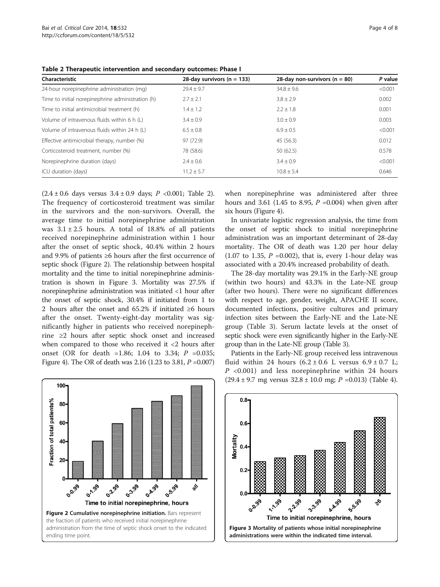<span id="page-3-0"></span>Table 2 Therapeutic intervention and secondary outcomes: Phase I

| Characteristic                                    | 28-day survivors ( $n = 133$ ) | 28-day non-survivors ( $n = 80$ ) | P value |
|---------------------------------------------------|--------------------------------|-----------------------------------|---------|
| 24-hour norepinephrine administration (mg)        | $29.4 \pm 9.7$                 | $34.8 \pm 9.6$                    | < 0.001 |
| Time to initial norepinephrine administration (h) | $2.7 \pm 2.1$                  | $3.8 \pm 2.9$                     | 0.002   |
| Time to initial antimicrobial treatment (h)       | $1.4 \pm 1.2$                  | $2.2 \pm 1.8$                     | 0.001   |
| Volume of intravenous fluids within 6 h (L)       | $3.4 \pm 0.9$                  | $3.0 \pm 0.9$                     | 0.003   |
| Volume of intravenous fluids within 24 h (L)      | $6.5 \pm 0.8$                  | $6.9 \pm 0.5$                     | < 0.001 |
| Effective antimicrobial therapy, number (%)       | 97 (72.9)                      | 45 (56.3)                         | 0.012   |
| Corticosteroid treatment, number (%)              | 78 (58.6)                      | 50(62.5)                          | 0.578   |
| Norepinephrine duration (days)                    | $2.4 \pm 0.6$                  | $3.4 \pm 0.9$                     | < 0.001 |
| ICU duration (days)                               | $11.2 \pm 5.7$                 | $10.8 \pm 5.4$                    | 0.646   |

 $(2.4 \pm 0.6)$  days versus  $3.4 \pm 0.9$  days; P <0.001; Table 2). The frequency of corticosteroid treatment was similar in the survivors and the non-survivors. Overall, the average time to initial norepinephrine administration was  $3.1 \pm 2.5$  hours. A total of 18.8% of all patients received norepinephrine administration within 1 hour after the onset of septic shock, 40.4% within 2 hours and 9.9% of patients ≥6 hours after the first occurrence of septic shock (Figure 2). The relationship between hospital mortality and the time to initial norepinephrine administration is shown in Figure 3. Mortality was 27.5% if norepinephrine administration was initiated <1 hour after the onset of septic shock, 30.4% if initiated from 1 to 2 hours after the onset and 65.2% if initiated ≥6 hours after the onset. Twenty-eight-day mortality was significantly higher in patients who received norepinephrine ≥2 hours after septic shock onset and increased when compared to those who received it <2 hours after onset (OR for death =1.86; 1.04 to 3.34; P =0.035; Figure [4](#page-4-0)). The OR of death was 2.16 (1.23 to 3.81,  $P = 0.007$ )



when norepinephrine was administered after three hours and 3.61 (1.45 to 8.95,  $P = 0.004$ ) when given after six hours (Figure [4](#page-4-0)).

In univariate logistic regression analysis, the time from the onset of septic shock to initial norepinephrine administration was an important determinant of 28-day mortality. The OR of death was 1.20 per hour delay  $(1.07 \text{ to } 1.35, P = 0.002)$ , that is, every 1-hour delay was associated with a 20.4% increased probability of death.

The 28-day mortality was 29.1% in the Early-NE group (within two hours) and 43.3% in the Late-NE group (after two hours). There were no significant differences with respect to age, gender, weight, APACHE II score, documented infections, positive cultures and primary infection sites between the Early-NE and the Late-NE group (Table [3\)](#page-4-0). Serum lactate levels at the onset of septic shock were even significantly higher in the Early-NE group than in the Late-NE group (Table [3\)](#page-4-0).

Patients in the Early-NE group received less intravenous fluid within 24 hours  $(6.2 \pm 0.6 \text{ L} \text{ versus } 6.9 \pm 0.7 \text{ L};$  $P \leq 0.001$ ) and less norepinephrine within 24 hours  $(29.4 \pm 9.7 \text{ mg} \text{ versus } 32.8 \pm 10.0 \text{ mg}; P = 0.013)$  (Table [4](#page-5-0)).

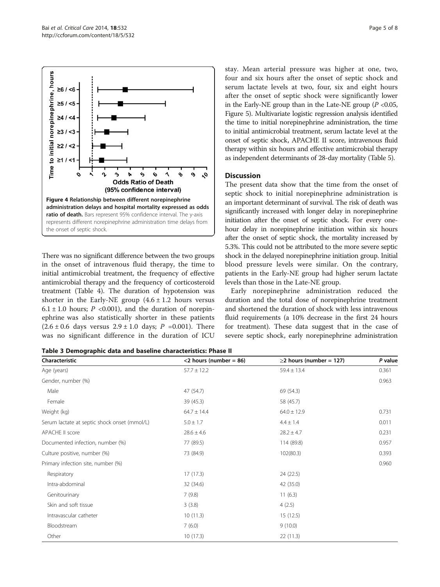<span id="page-4-0"></span>

There was no significant difference between the two groups in the onset of intravenous fluid therapy, the time to initial antimicrobial treatment, the frequency of effective antimicrobial therapy and the frequency of corticosteroid treatment (Table [4](#page-5-0)). The duration of hypotension was shorter in the Early-NE group  $(4.6 \pm 1.2)$  hours versus  $6.1 \pm 1.0$  hours; P <0.001), and the duration of norepinephrine was also statistically shorter in these patients  $(2.6 \pm 0.6$  days versus  $2.9 \pm 1.0$  days; P =0.001). There was no significant difference in the duration of ICU stay. Mean arterial pressure was higher at one, two, four and six hours after the onset of septic shock and serum lactate levels at two, four, six and eight hours after the onset of septic shock were significantly lower in the Early-NE group than in the Late-NE group ( $P < 0.05$ , Figure [5](#page-5-0)). Multivariate logistic regression analysis identified the time to initial norepinephrine administration, the time to initial antimicrobial treatment, serum lactate level at the onset of septic shock, APACHE II score, intravenous fluid therapy within six hours and effective antimicrobial therapy as independent determinants of 28-day mortality (Table [5\)](#page-6-0).

# **Discussion**

The present data show that the time from the onset of septic shock to initial norepinephrine administration is an important determinant of survival. The risk of death was significantly increased with longer delay in norepinephrine initiation after the onset of septic shock. For every onehour delay in norepinephrine initiation within six hours after the onset of septic shock, the mortality increased by 5.3%. This could not be attributed to the more severe septic shock in the delayed norepinephrine initiation group. Initial blood pressure levels were similar. On the contrary, patients in the Early-NE group had higher serum lactate levels than those in the Late-NE group.

Early norepinephrine administration reduced the duration and the total dose of norepinephrine treatment and shortened the duration of shock with less intravenous fluid requirements (a 10% decrease in the first 24 hours for treatment). These data suggest that in the case of severe septic shock, early norepinephrine administration

Table 3 Demographic data and baseline characteristics: Phase II

| Characteristic                               | $<$ 2 hours (number = 86) | $\geq$ 2 hours (number = 127) | P value |
|----------------------------------------------|---------------------------|-------------------------------|---------|
| Age (years)                                  | $57.7 \pm 12.2$           | $59.4 \pm 13.4$               | 0.361   |
| Gender, number (%)                           |                           |                               | 0.963   |
| Male                                         | 47 (54.7)                 | 69 (54.3)                     |         |
| Female                                       | 39 (45.3)                 | 58 (45.7)                     |         |
| Weight (kg)                                  | $64.7 \pm 14.4$           | $64.0 \pm 12.9$               | 0.731   |
| Serum lactate at septic shock onset (mmol/L) | $5.0 \pm 1.7$             | $4.4 \pm 1.4$                 | 0.011   |
| APACHE II score                              | $28.6 \pm 4.6$            | $28.2 \pm 4.7$                | 0.231   |
| Documented infection, number (%)             | 77 (89.5)                 | 114 (89.8)                    | 0.957   |
| Culture positive, number (%)                 | 73 (84.9)                 | 102(80.3)                     | 0.393   |
| Primary infection site, number (%)           |                           |                               | 0.960   |
| Respiratory                                  | 17(17.3)                  | 24 (22.5)                     |         |
| Intra-abdominal                              | 32 (34.6)                 | 42 (35.0)                     |         |
| Genitourinary                                | 7(9.8)                    | 11(6.3)                       |         |
| Skin and soft tissue                         | 3(3.8)                    | 4(2.5)                        |         |
| Intravascular catheter                       | 10(11.3)                  | 15(12.5)                      |         |
| Bloodstream                                  | 7(6.0)                    | 9(10.0)                       |         |
| Other                                        | 10(17.3)                  | 22(11.3)                      |         |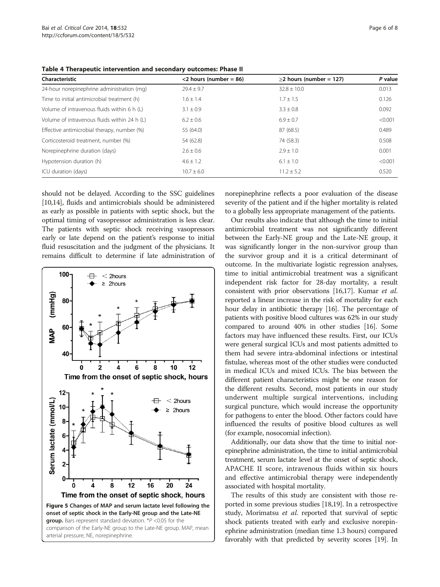<span id="page-5-0"></span>Table 4 Therapeutic intervention and secondary outcomes: Phase II

| Characteristic                               | $<$ 2 hours (number = 86) | $\geq$ 2 hours (number = 127) | P value |  |
|----------------------------------------------|---------------------------|-------------------------------|---------|--|
| 24-hour norepinephrine administration (mg)   | $29.4 \pm 9.7$            | $32.8 \pm 10.0$               | 0.013   |  |
| Time to initial antimicrobial treatment (h)  | $1.6 \pm 1.4$             | $1.7 \pm 1.5$                 | 0.126   |  |
| Volume of intravenous fluids within 6 h (L)  | $3.1 \pm 0.9$             | $3.3 \pm 0.8$                 | 0.092   |  |
| Volume of intravenous fluids within 24 h (L) | $6.2 \pm 0.6$             | $6.9 \pm 0.7$                 | < 0.001 |  |
| Effective antimicrobial therapy, number (%)  | 55 (64.0)                 | 87 (68.5)                     | 0.489   |  |
| Corticosteroid treatment, number (%)         | 54 (62.8)                 | 74 (58.3)                     | 0.508   |  |
| Norepinephrine duration (days)               | $2.6 \pm 0.6$             | $7.9 + 1.0$                   | 0.001   |  |
| Hypotension duration (h)                     | $4.6 \pm 1.2$             | $6.1 \pm 1.0$                 | < 0.001 |  |
| ICU duration (days)                          | $10.7 \pm 6.0$            | $11.2 \pm 5.2$                | 0.520   |  |

should not be delayed. According to the SSC guidelines [[10,14](#page-7-0)], fluids and antimicrobials should be administered as early as possible in patients with septic shock, but the optimal timing of vasopressor administration is less clear. The patients with septic shock receiving vasopressors early or late depend on the patient's response to initial fluid resuscitation and the judgment of the physicians. It remains difficult to determine if late administration of



norepinephrine reflects a poor evaluation of the disease severity of the patient and if the higher mortality is related to a globally less appropriate management of the patients.

Our results also indicate that although the time to initial antimicrobial treatment was not significantly different between the Early-NE group and the Late-NE group, it was significantly longer in the non-survivor group than the survivor group and it is a critical determinant of outcome. In the multivariate logistic regression analyses, time to initial antimicrobial treatment was a significant independent risk factor for 28-day mortality, a result consistent with prior observations [[16,17](#page-7-0)]. Kumar et al. reported a linear increase in the risk of mortality for each hour delay in antibiotic therapy [\[16\]](#page-7-0). The percentage of patients with positive blood cultures was 62% in our study compared to around 40% in other studies [[16\]](#page-7-0). Some factors may have influenced these results. First, our ICUs were general surgical ICUs and most patients admitted to them had severe intra-abdominal infections or intestinal fistulae, whereas most of the other studies were conducted in medical ICUs and mixed ICUs. The bias between the different patient characteristics might be one reason for the different results. Second, most patients in our study underwent multiple surgical interventions, including surgical puncture, which would increase the opportunity for pathogens to enter the blood. Other factors could have influenced the results of positive blood cultures as well (for example, nosocomial infection).

Additionally, our data show that the time to initial norepinephrine administration, the time to initial antimicrobial treatment, serum lactate level at the onset of septic shock, APACHE II score, intravenous fluids within six hours and effective antimicrobial therapy were independently associated with hospital mortality.

The results of this study are consistent with those reported in some previous studies [\[18,19](#page-7-0)]. In a retrospective study, Morimatsu et al. reported that survival of septic shock patients treated with early and exclusive norepinephrine administration (median time 1.3 hours) compared favorably with that predicted by severity scores [[19](#page-7-0)]. In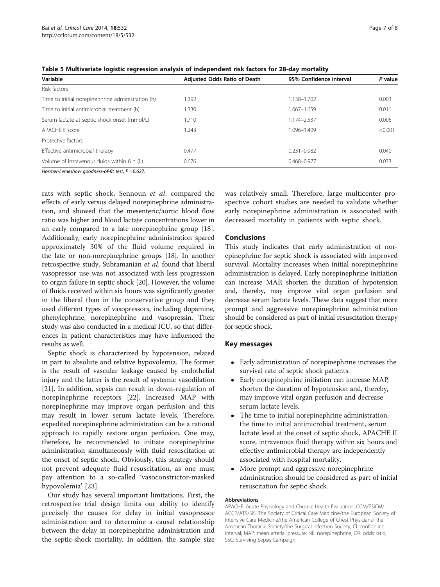<span id="page-6-0"></span>

| Table 5 Multivariate logistic regression analysis of independent risk factors for 28-day mortality |  |  |  |
|----------------------------------------------------------------------------------------------------|--|--|--|
|----------------------------------------------------------------------------------------------------|--|--|--|

| <b>Adjusted Odds Ratio of Death</b> | 95% Confidence interval | P value |
|-------------------------------------|-------------------------|---------|
|                                     |                         |         |
| .392                                | 1.138-1.702             | 0.003   |
| .330                                | 1.067-1.659             | 0.011   |
| 1.710                               | 1.174-2.537             | 0.005   |
| 1.243                               | 1.096-1.409             | < 0.001 |
|                                     |                         |         |
| 0.477                               | $0.231 - 0.982$         | 0.040   |
| 0.676                               | $0.468 - 0.977$         | 0.033   |
|                                     |                         |         |

Hosmer-Lemeshow goodness-of-fit test,  $P = 0.627$ .

rats with septic shock, Sennoun et al. compared the effects of early versus delayed norepinephrine administration, and showed that the mesenteric/aortic blood flow ratio was higher and blood lactate concentrations lower in an early compared to a late norepinephrine group [[18](#page-7-0)]. Additionally, early norepinephrine administration spared approximately 30% of the fluid volume required in the late or non-norepinephrine groups [[18](#page-7-0)]. In another retrospective study, Subramanian et al. found that liberal vasopressor use was not associated with less progression to organ failure in septic shock [\[20\]](#page-7-0). However, the volume of fluids received within six hours was significantly greater in the liberal than in the conservative group and they used different types of vasopressors, including dopamine, phenylephrine, norepinephrine and vasopressin. Their study was also conducted in a medical ICU, so that differences in patient characteristics may have influenced the results as well.

Septic shock is characterized by hypotension, related in part to absolute and relative hypovolemia. The former is the result of vascular leakage caused by endothelial injury and the latter is the result of systemic vasodilation [[21\]](#page-7-0). In addition, sepsis can result in down-regulation of norepinephrine receptors [\[22\]](#page-7-0). Increased MAP with norepinephrine may improve organ perfusion and this may result in lower serum lactate levels. Therefore, expedited norepinephrine administration can be a rational approach to rapidly restore organ perfusion. One may, therefore, be recommended to initiate norepinephrine administration simultaneously with fluid resuscitation at the onset of septic shock. Obviously, this strategy should not prevent adequate fluid resuscitation, as one must pay attention to a so-called 'vasoconstrictor-masked hypovolemia' [\[23](#page-7-0)].

Our study has several important limitations. First, the retrospective trial design limits our ability to identify precisely the causes for delay in initial vasopressor administration and to determine a causal relationship between the delay in norepinephrine administration and the septic-shock mortality. In addition, the sample size

was relatively small. Therefore, large multicenter prospective cohort studies are needed to validate whether early norepinephrine administration is associated with decreased mortality in patients with septic shock.

# Conclusions

This study indicates that early administration of norepinephrine for septic shock is associated with improved survival. Mortality increases when initial norepinephrine administration is delayed. Early norepinephrine initiation can increase MAP, shorten the duration of hypotension and, thereby, may improve vital organ perfusion and decrease serum lactate levels. These data suggest that more prompt and aggressive norepinephrine administration should be considered as part of initial resuscitation therapy for septic shock.

# Key messages

- Early administration of norepinephrine increases the survival rate of septic shock patients.
- Early norepinephrine initiation can increase MAP, shorten the duration of hypotension and, thereby, may improve vital organ perfusion and decrease serum lactate levels.
- The time to initial norepinephrine administration, the time to initial antimicrobial treatment, serum lactate level at the onset of septic shock, APACHE II score, intravenous fluid therapy within six hours and effective antimicrobial therapy are independently associated with hospital mortality.
- More prompt and aggressive norepinephrine administration should be considered as part of initial resuscitation for septic shock.

#### Abbreviations

APACHE: Acute Physiology and Chronic Health Evaluation; CCM/ESICM/ ACCP/ATS/SIS: The Society of Critical Care Medicine/the European Society of Intensive Care Medicine/the American College of Chest Physicians/ the American Thoracic Society/the Surgical Infection Society; CI: confidence interval; MAP: mean arterial pressure; NE: norepinephrine; OR: odds ratio; SSC: Surviving Sepsis Campaign.